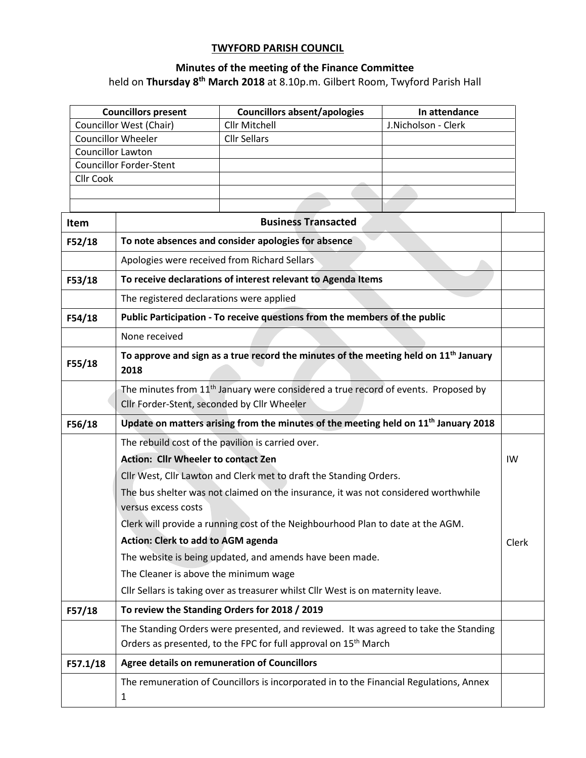## **TWYFORD PARISH COUNCIL**

## **Minutes of the meeting of the Finance Committee**

held on **Thursday 8 th March 2018** at 8.10p.m. Gilbert Room, Twyford Parish Hall

|                                                         |                                                                                                                                               | <b>Councillors present</b>                                                                      | <b>Councillors absent/apologies</b>                                              | In attendance       |  |  |  |  |  |
|---------------------------------------------------------|-----------------------------------------------------------------------------------------------------------------------------------------------|-------------------------------------------------------------------------------------------------|----------------------------------------------------------------------------------|---------------------|--|--|--|--|--|
|                                                         | <b>Councillor West (Chair)</b>                                                                                                                |                                                                                                 | <b>Cllr Mitchell</b>                                                             | J.Nicholson - Clerk |  |  |  |  |  |
|                                                         |                                                                                                                                               | <b>Councillor Wheeler</b>                                                                       | <b>Cllr Sellars</b>                                                              |                     |  |  |  |  |  |
|                                                         | Councillor Lawton                                                                                                                             | <b>Councillor Forder-Stent</b>                                                                  |                                                                                  |                     |  |  |  |  |  |
|                                                         | Cllr Cook                                                                                                                                     |                                                                                                 |                                                                                  |                     |  |  |  |  |  |
|                                                         |                                                                                                                                               |                                                                                                 |                                                                                  |                     |  |  |  |  |  |
|                                                         |                                                                                                                                               |                                                                                                 |                                                                                  |                     |  |  |  |  |  |
|                                                         | <b>Item</b>                                                                                                                                   | <b>Business Transacted</b>                                                                      |                                                                                  |                     |  |  |  |  |  |
| F52/18                                                  |                                                                                                                                               | To note absences and consider apologies for absence                                             |                                                                                  |                     |  |  |  |  |  |
|                                                         |                                                                                                                                               | Apologies were received from Richard Sellars                                                    |                                                                                  |                     |  |  |  |  |  |
| F53/18                                                  |                                                                                                                                               |                                                                                                 | To receive declarations of interest relevant to Agenda Items                     |                     |  |  |  |  |  |
|                                                         |                                                                                                                                               | The registered declarations were applied                                                        |                                                                                  |                     |  |  |  |  |  |
| F54/18                                                  |                                                                                                                                               |                                                                                                 | Public Participation - To receive questions from the members of the public       |                     |  |  |  |  |  |
|                                                         |                                                                                                                                               | None received                                                                                   |                                                                                  |                     |  |  |  |  |  |
| F55/18                                                  |                                                                                                                                               | To approve and sign as a true record the minutes of the meeting held on $11th$ January<br>2018  |                                                                                  |                     |  |  |  |  |  |
|                                                         | The minutes from 11 <sup>th</sup> January were considered a true record of events. Proposed by<br>Cllr Forder-Stent, seconded by Cllr Wheeler |                                                                                                 |                                                                                  |                     |  |  |  |  |  |
| F56/18                                                  |                                                                                                                                               | Update on matters arising from the minutes of the meeting held on 11 <sup>th</sup> January 2018 |                                                                                  |                     |  |  |  |  |  |
|                                                         | The rebuild cost of the pavilion is carried over.                                                                                             |                                                                                                 |                                                                                  |                     |  |  |  |  |  |
|                                                         |                                                                                                                                               | <b>Action: Cllr Wheeler to contact Zen</b>                                                      |                                                                                  |                     |  |  |  |  |  |
|                                                         |                                                                                                                                               |                                                                                                 | Cllr West, Cllr Lawton and Clerk met to draft the Standing Orders.               |                     |  |  |  |  |  |
|                                                         |                                                                                                                                               | The bus shelter was not claimed on the insurance, it was not considered worthwhile              |                                                                                  |                     |  |  |  |  |  |
|                                                         |                                                                                                                                               | versus excess costs                                                                             |                                                                                  |                     |  |  |  |  |  |
|                                                         |                                                                                                                                               |                                                                                                 | Clerk will provide a running cost of the Neighbourhood Plan to date at the AGM.  |                     |  |  |  |  |  |
|                                                         |                                                                                                                                               | <b>Action: Clerk to add to AGM agenda</b>                                                       |                                                                                  |                     |  |  |  |  |  |
|                                                         |                                                                                                                                               | The website is being updated, and amends have been made.                                        |                                                                                  |                     |  |  |  |  |  |
| The Cleaner is above the minimum wage                   |                                                                                                                                               |                                                                                                 |                                                                                  |                     |  |  |  |  |  |
|                                                         |                                                                                                                                               |                                                                                                 | Cllr Sellars is taking over as treasurer whilst Cllr West is on maternity leave. |                     |  |  |  |  |  |
| To review the Standing Orders for 2018 / 2019<br>F57/18 |                                                                                                                                               |                                                                                                 |                                                                                  |                     |  |  |  |  |  |
|                                                         |                                                                                                                                               | The Standing Orders were presented, and reviewed. It was agreed to take the Standing            |                                                                                  |                     |  |  |  |  |  |
|                                                         |                                                                                                                                               |                                                                                                 | Orders as presented, to the FPC for full approval on 15 <sup>th</sup> March      |                     |  |  |  |  |  |
|                                                         | F57.1/18                                                                                                                                      | Agree details on remuneration of Councillors                                                    |                                                                                  |                     |  |  |  |  |  |
|                                                         | The remuneration of Councillors is incorporated in to the Financial Regulations, Annex                                                        |                                                                                                 |                                                                                  |                     |  |  |  |  |  |
|                                                         |                                                                                                                                               | $\mathbf{1}$                                                                                    |                                                                                  |                     |  |  |  |  |  |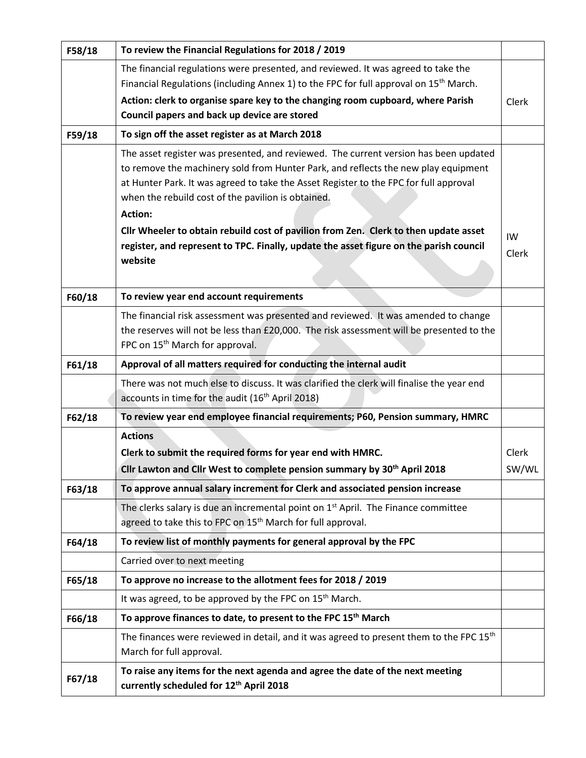| F58/18 | To review the Financial Regulations for 2018 / 2019                                                                                                                                                                                                                                                                                         |                |  |  |  |  |  |
|--------|---------------------------------------------------------------------------------------------------------------------------------------------------------------------------------------------------------------------------------------------------------------------------------------------------------------------------------------------|----------------|--|--|--|--|--|
|        | The financial regulations were presented, and reviewed. It was agreed to take the<br>Financial Regulations (including Annex 1) to the FPC for full approval on 15 <sup>th</sup> March.<br>Action: clerk to organise spare key to the changing room cupboard, where Parish<br>Council papers and back up device are stored                   | Clerk          |  |  |  |  |  |
| F59/18 | To sign off the asset register as at March 2018                                                                                                                                                                                                                                                                                             |                |  |  |  |  |  |
|        | The asset register was presented, and reviewed. The current version has been updated<br>to remove the machinery sold from Hunter Park, and reflects the new play equipment<br>at Hunter Park. It was agreed to take the Asset Register to the FPC for full approval<br>when the rebuild cost of the pavilion is obtained.<br><b>Action:</b> |                |  |  |  |  |  |
|        | Cllr Wheeler to obtain rebuild cost of pavilion from Zen. Clerk to then update asset<br>register, and represent to TPC. Finally, update the asset figure on the parish council<br>website                                                                                                                                                   | IW<br>Clerk    |  |  |  |  |  |
| F60/18 | To review year end account requirements                                                                                                                                                                                                                                                                                                     |                |  |  |  |  |  |
|        | The financial risk assessment was presented and reviewed. It was amended to change<br>the reserves will not be less than £20,000. The risk assessment will be presented to the<br>FPC on 15 <sup>th</sup> March for approval.                                                                                                               |                |  |  |  |  |  |
| F61/18 | Approval of all matters required for conducting the internal audit                                                                                                                                                                                                                                                                          |                |  |  |  |  |  |
|        | There was not much else to discuss. It was clarified the clerk will finalise the year end<br>accounts in time for the audit (16 <sup>th</sup> April 2018)                                                                                                                                                                                   |                |  |  |  |  |  |
| F62/18 | To review year end employee financial requirements; P60, Pension summary, HMRC                                                                                                                                                                                                                                                              |                |  |  |  |  |  |
|        | <b>Actions</b><br>Clerk to submit the required forms for year end with HMRC.<br>Cllr Lawton and Cllr West to complete pension summary by 30 <sup>th</sup> April 2018                                                                                                                                                                        | Clerk<br>SW/WL |  |  |  |  |  |
| F63/18 | To approve annual salary increment for Clerk and associated pension increase                                                                                                                                                                                                                                                                |                |  |  |  |  |  |
|        | The clerks salary is due an incremental point on 1 <sup>st</sup> April. The Finance committee<br>agreed to take this to FPC on 15 <sup>th</sup> March for full approval.                                                                                                                                                                    |                |  |  |  |  |  |
| F64/18 | To review list of monthly payments for general approval by the FPC                                                                                                                                                                                                                                                                          |                |  |  |  |  |  |
|        | Carried over to next meeting                                                                                                                                                                                                                                                                                                                |                |  |  |  |  |  |
| F65/18 | To approve no increase to the allotment fees for 2018 / 2019                                                                                                                                                                                                                                                                                |                |  |  |  |  |  |
|        | It was agreed, to be approved by the FPC on 15 <sup>th</sup> March.                                                                                                                                                                                                                                                                         |                |  |  |  |  |  |
| F66/18 | To approve finances to date, to present to the FPC 15 <sup>th</sup> March                                                                                                                                                                                                                                                                   |                |  |  |  |  |  |
|        | The finances were reviewed in detail, and it was agreed to present them to the FPC 15 <sup>th</sup><br>March for full approval.                                                                                                                                                                                                             |                |  |  |  |  |  |
| F67/18 | To raise any items for the next agenda and agree the date of the next meeting<br>currently scheduled for 12 <sup>th</sup> April 2018                                                                                                                                                                                                        |                |  |  |  |  |  |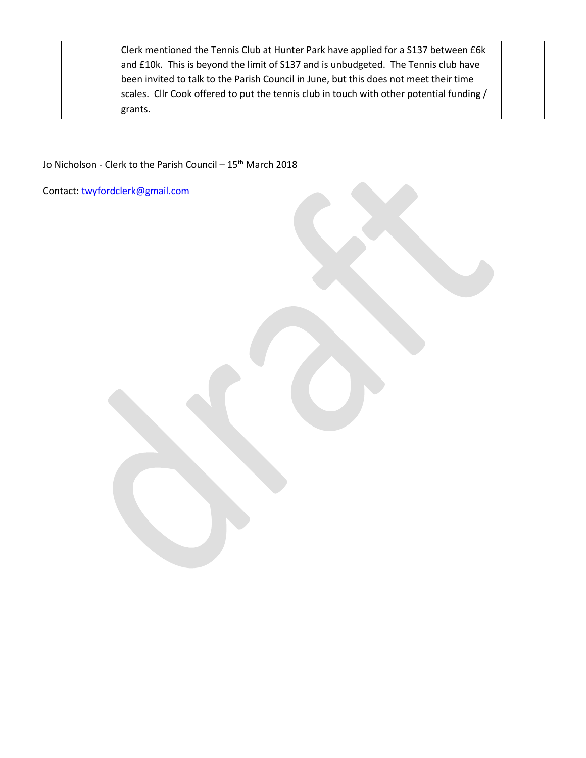| Clerk mentioned the Tennis Club at Hunter Park have applied for a S137 between £6k       |  |
|------------------------------------------------------------------------------------------|--|
| and £10k. This is beyond the limit of S137 and is unbudgeted. The Tennis club have       |  |
| been invited to talk to the Parish Council in June, but this does not meet their time    |  |
| scales. Cllr Cook offered to put the tennis club in touch with other potential funding / |  |
| grants.                                                                                  |  |

Jo Nicholson - Clerk to the Parish Council – 15<sup>th</sup> March 2018

Contact: [twyfordclerk@gmail.com](mailto:twyfordclerk@gmail.com)